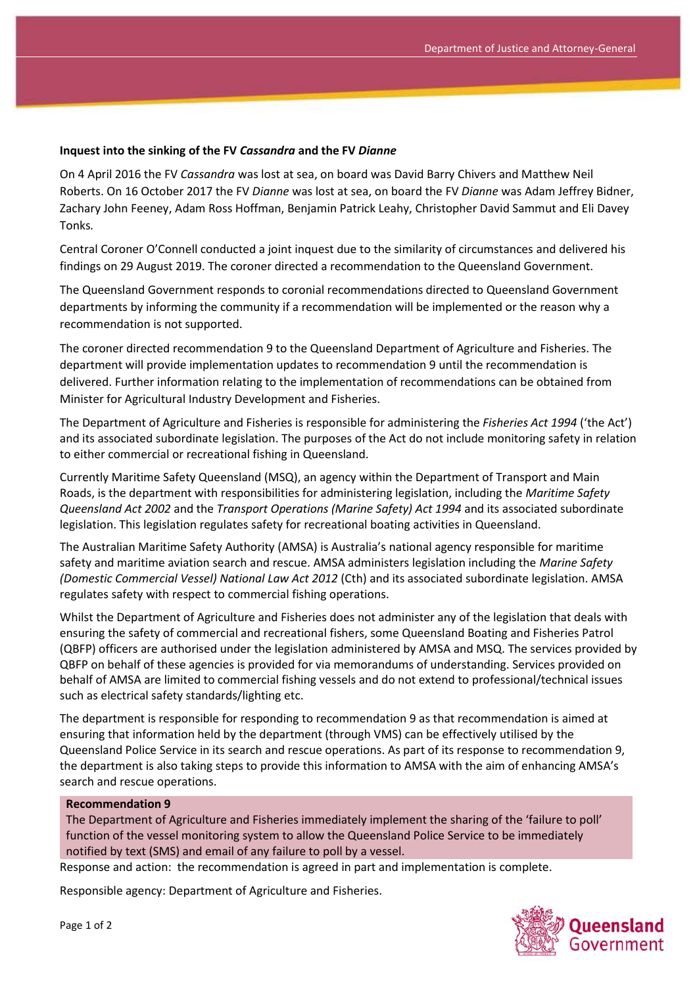## **Inquest into the sinking of the FV** *Cassandra* **and the FV** *Dianne*

On 4 April 2016 the FV *Cassandra* was lost at sea, on board was David Barry Chivers and Matthew Neil Roberts. On 16 October 2017 the FV *Dianne* was lost at sea, on board the FV *Dianne* was Adam Jeffrey Bidner, Zachary John Feeney, Adam Ross Hoffman, Benjamin Patrick Leahy, Christopher David Sammut and Eli Davey Tonks*.*

Central Coroner O'Connell conducted a joint inquest due to the similarity of circumstances and delivered his findings on 29 August 2019. The coroner directed a recommendation to the Queensland Government.

The Queensland Government responds to coronial recommendations directed to Queensland Government departments by informing the community if a recommendation will be implemented or the reason why a recommendation is not supported.

The coroner directed recommendation 9 to the Queensland Department of Agriculture and Fisheries. The department will provide implementation updates to recommendation 9 until the recommendation is delivered. Further information relating to the implementation of recommendations can be obtained from Minister for Agricultural Industry Development and Fisheries.

The Department of Agriculture and Fisheries is responsible for administering the *Fisheries Act 1994* ('the Act') and its associated subordinate legislation. The purposes of the Act do not include monitoring safety in relation to either commercial or recreational fishing in Queensland.

Currently Maritime Safety Queensland (MSQ), an agency within the Department of Transport and Main Roads, is the department with responsibilities for administering legislation, including the *Maritime Safety Queensland Act 2002* and the *Transport Operations (Marine Safety) Act 1994* and its associated subordinate legislation. This legislation regulates safety for recreational boating activities in Queensland.

The Australian Maritime Safety Authority (AMSA) is Australia's national agency responsible for maritime safety and maritime aviation search and rescue. AMSA administers legislation including the *Marine Safety (Domestic Commercial Vessel) National Law Act 2012* (Cth) and its associated subordinate legislation. AMSA regulates safety with respect to commercial fishing operations.

Whilst the Department of Agriculture and Fisheries does not administer any of the legislation that deals with ensuring the safety of commercial and recreational fishers, some Queensland Boating and Fisheries Patrol (QBFP) officers are authorised under the legislation administered by AMSA and MSQ. The services provided by QBFP on behalf of these agencies is provided for via memorandums of understanding. Services provided on behalf of AMSA are limited to commercial fishing vessels and do not extend to professional/technical issues such as electrical safety standards/lighting etc.

The department is responsible for responding to recommendation 9 as that recommendation is aimed at ensuring that information held by the department (through VMS) can be effectively utilised by the Queensland Police Service in its search and rescue operations. As part of its response to recommendation 9, the department is also taking steps to provide this information to AMSA with the aim of enhancing AMSA's search and rescue operations.

## **Recommendation 9**

The Department of Agriculture and Fisheries immediately implement the sharing of the 'failure to poll' function of the vessel monitoring system to allow the Queensland Police Service to be immediately notified by text (SMS) and email of any failure to poll by a vessel.

Response and action: the recommendation is agreed in part and implementation is complete.

Responsible agency: Department of Agriculture and Fisheries.